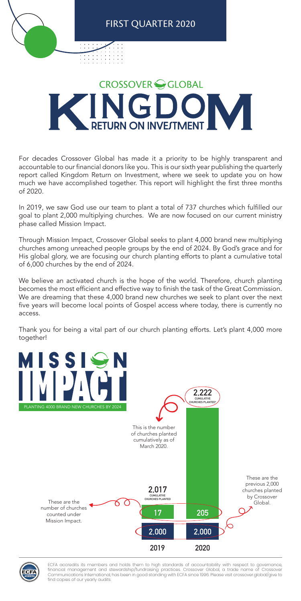

## FIRST QUARTER 2020

## **CROSSOVER GLOBAL RETURN ON INVESTMENT**

For decades Crossover Global has made it a priority to be highly transparent and accountable to our financial donors like you. This is our sixth year publishing the quarterly report called Kingdom Return on Investment, where we seek to update you on how much we have accomplished together. This report will highlight the first three months of 2020.

In 2019, we saw God use our team to plant a total of 737 churches which fulfilled our goal to plant 2,000 multiplying churches. We are now focused on our current ministry phase called Mission Impact.

Through Mission Impact, Crossover Global seeks to plant 4,000 brand new multiplying churches among unreached people groups by the end of 2024. By God's grace and for His global glory, we are focusing our church planting efforts to plant a cumulative total of 6,000 churches by the end of 2024.







We believe an activated church is the hope of the world. Therefore, church planting becomes the most efficient and effective way to finish the task of the Great Commission. We are dreaming that these 4,000 brand new churches we seek to plant over the next five years will become local points of Gospel access where today, there is currently no access.

Thank you for being a vital part of our church planting efforts. Let's plant 4,000 more together!

> ECFA accredits its members and holds them to high standards of accountability with respect to governance, financial management and stewardship/fundraising practices. Crossover Global, a trade name of Crossover Communications International, has been in good standing with ECFA since 1996. Please visit crossover.global/give to find copies of our yearly audits.